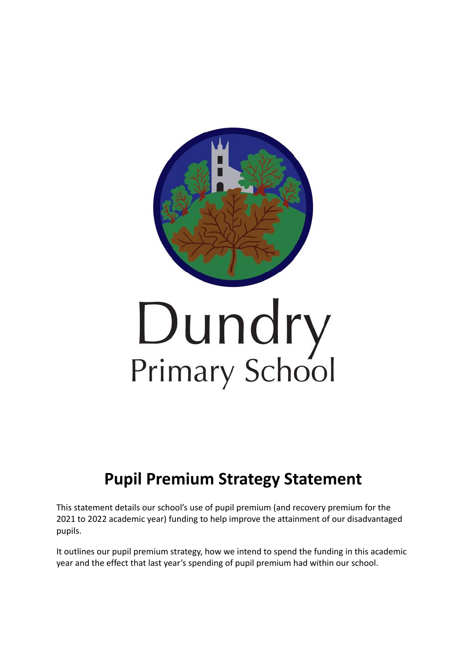

# **Pupil Premium Strategy Statement**

This statement details our school's use of pupil premium (and recovery premium for the 2021 to 2022 academic year) funding to help improve the attainment of our disadvantaged pupils.

It outlines our pupil premium strategy, how we intend to spend the funding in this academic year and the effect that last year's spending of pupil premium had within our school.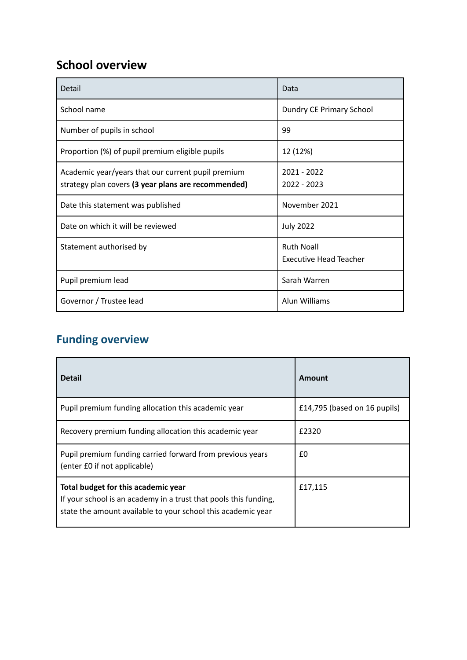### **School overview**

| Detail                                                                                                    | Data                                               |
|-----------------------------------------------------------------------------------------------------------|----------------------------------------------------|
| School name                                                                                               | Dundry CE Primary School                           |
| Number of pupils in school                                                                                | 99                                                 |
| Proportion (%) of pupil premium eligible pupils                                                           | 12 (12%)                                           |
| Academic year/years that our current pupil premium<br>strategy plan covers (3 year plans are recommended) | $2021 - 2022$<br>$2022 - 2023$                     |
| Date this statement was published                                                                         | November 2021                                      |
| Date on which it will be reviewed                                                                         | <b>July 2022</b>                                   |
| Statement authorised by                                                                                   | <b>Ruth Noall</b><br><b>Executive Head Teacher</b> |
| Pupil premium lead                                                                                        | Sarah Warren                                       |
| Governor / Trustee lead                                                                                   | Alun Williams                                      |

### **Funding overview**

| <b>Detail</b>                                                                                                                                                           | Amount                       |
|-------------------------------------------------------------------------------------------------------------------------------------------------------------------------|------------------------------|
| Pupil premium funding allocation this academic year                                                                                                                     | £14,795 (based on 16 pupils) |
| Recovery premium funding allocation this academic year                                                                                                                  | £2320                        |
| Pupil premium funding carried forward from previous years<br>(enter £0 if not applicable)                                                                               | £0                           |
| Total budget for this academic year<br>If your school is an academy in a trust that pools this funding,<br>state the amount available to your school this academic year | £17,115                      |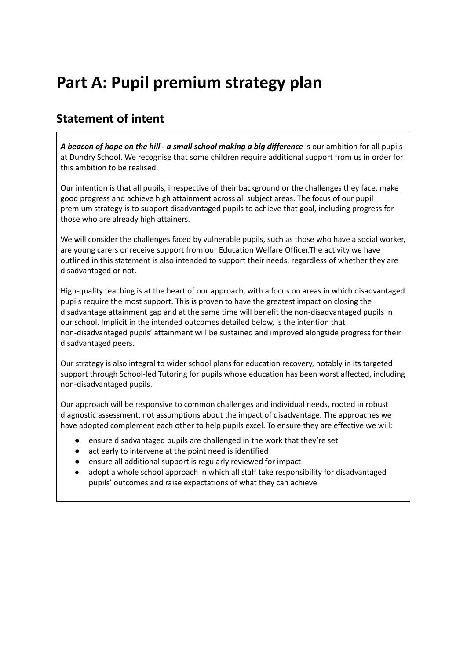# **Part A: Pupil premium strategy plan**

### **Statement of intent**

*A beacon of hope on the hill - a small school making a big difference* is our ambition for all pupils at Dundry School. We recognise that some children require additional support from us in order for this ambition to be realised.

Our intention is that all pupils, irrespective of their background or the challenges they face, make good progress and achieve high attainment across all subject areas. The focus of our pupil premium strategy is to support disadvantaged pupils to achieve that goal, including progress for those who are already high attainers.

We will consider the challenges faced by vulnerable pupils, such as those who have a social worker, are young carers or receive support from our Education Welfare Officer.The activity we have outlined in this statement is also intended to support their needs, regardless of whether they are disadvantaged or not.

High-quality teaching is at the heart of our approach, with a focus on areas in which disadvantaged pupils require the most support. This is proven to have the greatest impact on closing the disadvantage attainment gap and at the same time will benefit the non-disadvantaged pupils in our school. Implicit in the intended outcomes detailed below, is the intention that non-disadvantaged pupils' attainment will be sustained and improved alongside progress for their disadvantaged peers.

Our strategy is also integral to wider school plans for education recovery, notably in its targeted support through School-led Tutoring for pupils whose education has been worst affected, including non-disadvantaged pupils.

Our approach will be responsive to common challenges and individual needs, rooted in robust diagnostic assessment, not assumptions about the impact of disadvantage. The approaches we have adopted complement each other to help pupils excel. To ensure they are effective we will:

- ensure disadvantaged pupils are challenged in the work that they're set
- act early to intervene at the point need is identified
- ensure all additional support is regularly reviewed for impact
- adopt a whole school approach in which all staff take responsibility for disadvantaged pupils' outcomes and raise expectations of what they can achieve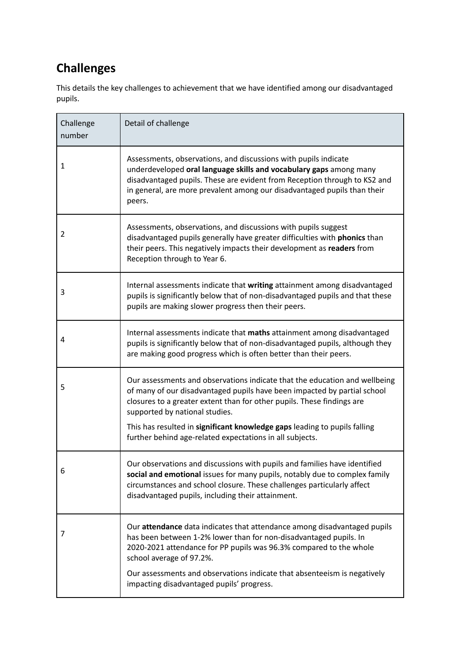### **Challenges**

This details the key challenges to achievement that we have identified among our disadvantaged pupils.

| Challenge<br>number | Detail of challenge                                                                                                                                                                                                                                                                                                                                                                                         |
|---------------------|-------------------------------------------------------------------------------------------------------------------------------------------------------------------------------------------------------------------------------------------------------------------------------------------------------------------------------------------------------------------------------------------------------------|
| 1                   | Assessments, observations, and discussions with pupils indicate<br>underdeveloped oral language skills and vocabulary gaps among many<br>disadvantaged pupils. These are evident from Reception through to KS2 and<br>in general, are more prevalent among our disadvantaged pupils than their<br>peers.                                                                                                    |
| 2                   | Assessments, observations, and discussions with pupils suggest<br>disadvantaged pupils generally have greater difficulties with <b>phonics</b> than<br>their peers. This negatively impacts their development as readers from<br>Reception through to Year 6.                                                                                                                                               |
| 3                   | Internal assessments indicate that writing attainment among disadvantaged<br>pupils is significantly below that of non-disadvantaged pupils and that these<br>pupils are making slower progress then their peers.                                                                                                                                                                                           |
| 4                   | Internal assessments indicate that maths attainment among disadvantaged<br>pupils is significantly below that of non-disadvantaged pupils, although they<br>are making good progress which is often better than their peers.                                                                                                                                                                                |
| 5                   | Our assessments and observations indicate that the education and wellbeing<br>of many of our disadvantaged pupils have been impacted by partial school<br>closures to a greater extent than for other pupils. These findings are<br>supported by national studies.<br>This has resulted in significant knowledge gaps leading to pupils falling<br>further behind age-related expectations in all subjects. |
| 6                   | Our observations and discussions with pupils and families have identified<br>social and emotional issues for many pupils, notably due to complex family<br>circumstances and school closure. These challenges particularly affect<br>disadvantaged pupils, including their attainment.                                                                                                                      |
| 7                   | Our attendance data indicates that attendance among disadvantaged pupils<br>has been between 1-2% lower than for non-disadvantaged pupils. In<br>2020-2021 attendance for PP pupils was 96.3% compared to the whole<br>school average of 97.2%.<br>Our assessments and observations indicate that absenteeism is negatively<br>impacting disadvantaged pupils' progress.                                    |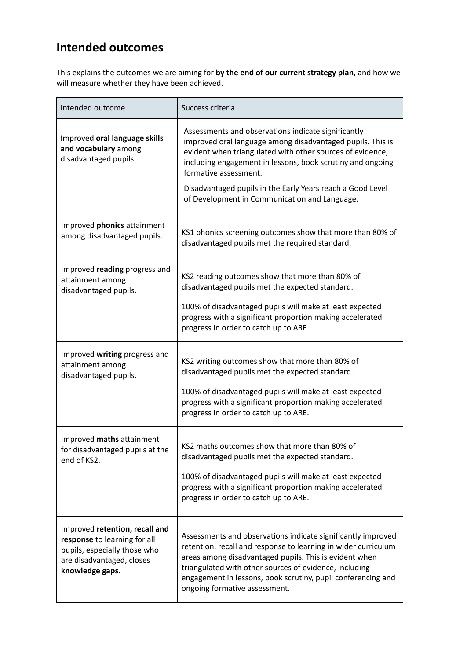### **Intended outcomes**

This explains the outcomes we are aiming for **by the end of our current strategy plan**, and how we will measure whether they have been achieved.

| Intended outcome                                                                                                                               | Success criteria                                                                                                                                                                                                                                                                                                                                    |
|------------------------------------------------------------------------------------------------------------------------------------------------|-----------------------------------------------------------------------------------------------------------------------------------------------------------------------------------------------------------------------------------------------------------------------------------------------------------------------------------------------------|
| Improved oral language skills<br>and vocabulary among<br>disadvantaged pupils.                                                                 | Assessments and observations indicate significantly<br>improved oral language among disadvantaged pupils. This is<br>evident when triangulated with other sources of evidence,<br>including engagement in lessons, book scrutiny and ongoing<br>formative assessment.                                                                               |
|                                                                                                                                                | Disadvantaged pupils in the Early Years reach a Good Level<br>of Development in Communication and Language.                                                                                                                                                                                                                                         |
| Improved phonics attainment<br>among disadvantaged pupils.                                                                                     | KS1 phonics screening outcomes show that more than 80% of<br>disadvantaged pupils met the required standard.                                                                                                                                                                                                                                        |
| Improved reading progress and<br>attainment among<br>disadvantaged pupils.                                                                     | KS2 reading outcomes show that more than 80% of<br>disadvantaged pupils met the expected standard.                                                                                                                                                                                                                                                  |
|                                                                                                                                                | 100% of disadvantaged pupils will make at least expected<br>progress with a significant proportion making accelerated<br>progress in order to catch up to ARE.                                                                                                                                                                                      |
| Improved writing progress and<br>attainment among<br>disadvantaged pupils.                                                                     | KS2 writing outcomes show that more than 80% of<br>disadvantaged pupils met the expected standard.                                                                                                                                                                                                                                                  |
|                                                                                                                                                | 100% of disadvantaged pupils will make at least expected<br>progress with a significant proportion making accelerated<br>progress in order to catch up to ARE.                                                                                                                                                                                      |
| Improved maths attainment<br>for disadvantaged pupils at the<br>end of KS2.                                                                    | KS2 maths outcomes show that more than 80% of<br>disadvantaged pupils met the expected standard.                                                                                                                                                                                                                                                    |
|                                                                                                                                                | 100% of disadvantaged pupils will make at least expected<br>progress with a significant proportion making accelerated<br>progress in order to catch up to ARE.                                                                                                                                                                                      |
| Improved retention, recall and<br>response to learning for all<br>pupils, especially those who<br>are disadvantaged, closes<br>knowledge gaps. | Assessments and observations indicate significantly improved<br>retention, recall and response to learning in wider curriculum<br>areas among disadvantaged pupils. This is evident when<br>triangulated with other sources of evidence, including<br>engagement in lessons, book scrutiny, pupil conferencing and<br>ongoing formative assessment. |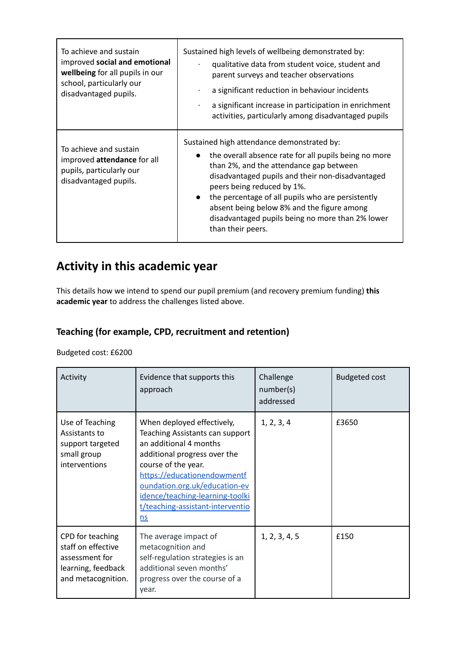| To achieve and sustain<br>improved social and emotional<br>wellbeing for all pupils in our<br>school, particularly our<br>disadvantaged pupils. | Sustained high levels of wellbeing demonstrated by:<br>qualitative data from student voice, student and<br>parent surveys and teacher observations<br>a significant reduction in behaviour incidents<br>a significant increase in participation in enrichment<br>activities, particularly among disadvantaged pupils                                                                                                                   |
|-------------------------------------------------------------------------------------------------------------------------------------------------|----------------------------------------------------------------------------------------------------------------------------------------------------------------------------------------------------------------------------------------------------------------------------------------------------------------------------------------------------------------------------------------------------------------------------------------|
| To achieve and sustain<br>improved attendance for all<br>pupils, particularly our<br>disadvantaged pupils.                                      | Sustained high attendance demonstrated by:<br>the overall absence rate for all pupils being no more<br>$\bullet$<br>than 2%, and the attendance gap between<br>disadvantaged pupils and their non-disadvantaged<br>peers being reduced by 1%.<br>the percentage of all pupils who are persistently<br>$\bullet$<br>absent being below 8% and the figure among<br>disadvantaged pupils being no more than 2% lower<br>than their peers. |

### **Activity in this academic year**

This details how we intend to spend our pupil premium (and recovery premium funding) **this academic year** to address the challenges listed above.

#### **Teaching (for example, CPD, recruitment and retention)**

Budgeted cost: £6200

| Activity                                                                                             | Evidence that supports this<br>approach                                                                                                                                                                                                                                                     | Challenge<br>number(s)<br>addressed | <b>Budgeted cost</b> |
|------------------------------------------------------------------------------------------------------|---------------------------------------------------------------------------------------------------------------------------------------------------------------------------------------------------------------------------------------------------------------------------------------------|-------------------------------------|----------------------|
| Use of Teaching<br>Assistants to<br>support targeted<br>small group<br>interventions                 | When deployed effectively,<br>Teaching Assistants can support<br>an additional 4 months<br>additional progress over the<br>course of the year.<br>https://educationendowmentf<br>oundation.org.uk/education-ev<br>idence/teaching-learning-toolki<br>t/teaching-assistant-interventio<br>ns | 1, 2, 3, 4                          | £3650                |
| CPD for teaching<br>staff on effective<br>assessment for<br>learning, feedback<br>and metacognition. | The average impact of<br>metacognition and<br>self-regulation strategies is an<br>additional seven months'<br>progress over the course of a<br>year.                                                                                                                                        | 1, 2, 3, 4, 5                       | £150                 |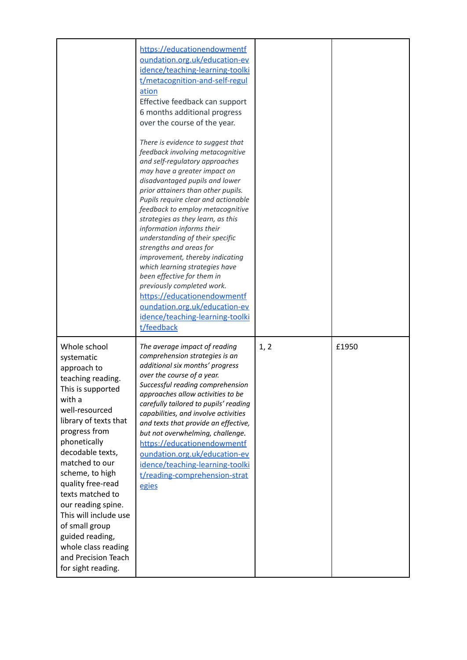|                                                                                                                                                                                                                                                                                                                                                                                                                                     | https://educationendowmentf<br>oundation.org.uk/education-ev<br>idence/teaching-learning-toolki<br>t/metacognition-and-self-regul<br>ation<br>Effective feedback can support<br>6 months additional progress<br>over the course of the year.<br>There is evidence to suggest that<br>feedback involving metacognitive<br>and self-regulatory approaches<br>may have a greater impact on<br>disadvantaged pupils and lower<br>prior attainers than other pupils.<br>Pupils require clear and actionable<br>feedback to employ metacognitive<br>strategies as they learn, as this<br>information informs their<br>understanding of their specific<br>strengths and areas for<br>improvement, thereby indicating<br>which learning strategies have<br>been effective for them in<br>previously completed work.<br>https://educationendowmentf<br>oundation.org.uk/education-ev<br>idence/teaching-learning-toolki<br>t/feedback |      |       |
|-------------------------------------------------------------------------------------------------------------------------------------------------------------------------------------------------------------------------------------------------------------------------------------------------------------------------------------------------------------------------------------------------------------------------------------|------------------------------------------------------------------------------------------------------------------------------------------------------------------------------------------------------------------------------------------------------------------------------------------------------------------------------------------------------------------------------------------------------------------------------------------------------------------------------------------------------------------------------------------------------------------------------------------------------------------------------------------------------------------------------------------------------------------------------------------------------------------------------------------------------------------------------------------------------------------------------------------------------------------------------|------|-------|
| Whole school<br>systematic<br>approach to<br>teaching reading.<br>This is supported<br>with a<br>well-resourced<br>library of texts that<br>progress from<br>phonetically<br>decodable texts,<br>matched to our<br>scheme, to high<br>quality free-read<br>texts matched to<br>our reading spine.<br>This will include use<br>of small group<br>guided reading,<br>whole class reading<br>and Precision Teach<br>for sight reading. | The average impact of reading<br>comprehension strategies is an<br>additional six months' progress<br>over the course of a year.<br>Successful reading comprehension<br>approaches allow activities to be<br>carefully tailored to pupils' reading<br>capabilities, and involve activities<br>and texts that provide an effective,<br>but not overwhelming, challenge.<br>https://educationendowmentf<br>oundation.org.uk/education-ev<br>idence/teaching-learning-toolki<br>t/reading-comprehension-strat<br>egies                                                                                                                                                                                                                                                                                                                                                                                                          | 1, 2 | £1950 |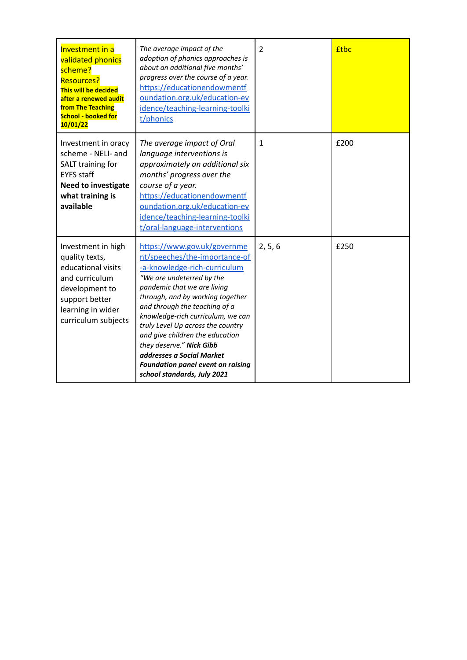| <b>Investment in a</b><br>validated phonics<br>scheme?<br><b>Resources?</b><br>This will be decided<br>after a renewed audit<br>from The Teaching<br><b>School - booked for</b><br>10/01/22 | The average impact of the<br>adoption of phonics approaches is<br>about an additional five months'<br>progress over the course of a year.<br>https://educationendowmentf<br>oundation.org.uk/education-ev<br>idence/teaching-learning-toolki<br>t/phonics                                                                                                                                                                                                                      | $\overline{2}$ | <b>f</b> tbc |
|---------------------------------------------------------------------------------------------------------------------------------------------------------------------------------------------|--------------------------------------------------------------------------------------------------------------------------------------------------------------------------------------------------------------------------------------------------------------------------------------------------------------------------------------------------------------------------------------------------------------------------------------------------------------------------------|----------------|--------------|
| Investment in oracy<br>scheme - NELI- and<br>SALT training for<br><b>EYFS</b> staff<br><b>Need to investigate</b><br>what training is<br>available                                          | The average impact of Oral<br>language interventions is<br>approximately an additional six<br>months' progress over the<br>course of a year.<br>https://educationendowmentf<br>oundation.org.uk/education-ev<br>idence/teaching-learning-toolki<br>t/oral-language-interventions                                                                                                                                                                                               | $\mathbf{1}$   | £200         |
| Investment in high<br>quality texts,<br>educational visits<br>and curriculum<br>development to<br>support better<br>learning in wider<br>curriculum subjects                                | https://www.gov.uk/governme<br>nt/speeches/the-importance-of<br>-a-knowledge-rich-curriculum<br>"We are undeterred by the<br>pandemic that we are living<br>through, and by working together<br>and through the teaching of a<br>knowledge-rich curriculum, we can<br>truly Level Up across the country<br>and give children the education<br>they deserve." Nick Gibb<br>addresses a Social Market<br><b>Foundation panel event on raising</b><br>school standards, July 2021 | 2, 5, 6        | £250         |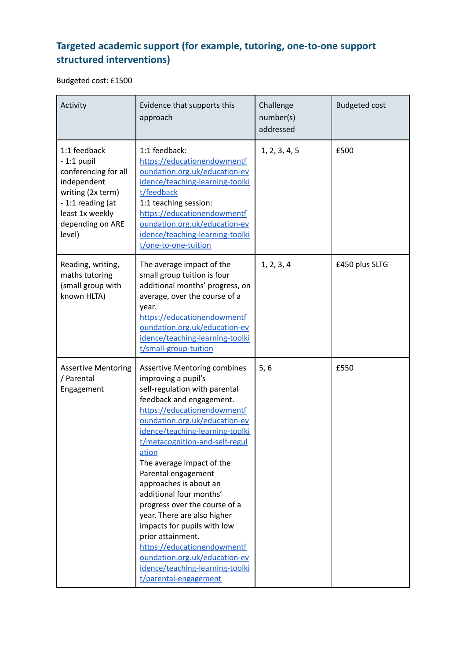### **Targeted academic support (for example, tutoring, one-to-one support structured interventions)**

Budgeted cost: £1500

| Activity                                                                                                                                                      | Evidence that supports this<br>approach                                                                                                                                                                                                                                                                                                                                                                                                                                                                                                                                                                                        | Challenge<br>number(s)<br>addressed | <b>Budgeted cost</b> |
|---------------------------------------------------------------------------------------------------------------------------------------------------------------|--------------------------------------------------------------------------------------------------------------------------------------------------------------------------------------------------------------------------------------------------------------------------------------------------------------------------------------------------------------------------------------------------------------------------------------------------------------------------------------------------------------------------------------------------------------------------------------------------------------------------------|-------------------------------------|----------------------|
| 1:1 feedback<br>$-1:1$ pupil<br>conferencing for all<br>independent<br>writing (2x term)<br>-1:1 reading (at<br>least 1x weekly<br>depending on ARE<br>level) | 1:1 feedback:<br>https://educationendowmentf<br>oundation.org.uk/education-ev<br>idence/teaching-learning-toolki<br>t/feedback<br>1:1 teaching session:<br>https://educationendowmentf<br>oundation.org.uk/education-ev<br>idence/teaching-learning-toolki<br>t/one-to-one-tuition                                                                                                                                                                                                                                                                                                                                             | 1, 2, 3, 4, 5                       | £500                 |
| Reading, writing,<br>maths tutoring<br>(small group with<br>known HLTA)                                                                                       | The average impact of the<br>small group tuition is four<br>additional months' progress, on<br>average, over the course of a<br>year.<br>https://educationendowmentf<br>oundation.org.uk/education-ev<br>idence/teaching-learning-toolki<br>t/small-group-tuition                                                                                                                                                                                                                                                                                                                                                              | 1, 2, 3, 4                          | £450 plus SLTG       |
| <b>Assertive Mentoring</b><br>/ Parental<br>Engagement                                                                                                        | <b>Assertive Mentoring combines</b><br>improving a pupil's<br>self-regulation with parental<br>feedback and engagement.<br>https://educationendowmentf<br>oundation.org.uk/education-ev<br>idence/teaching-learning-toolki<br>t/metacognition-and-self-regul<br>ation<br>The average impact of the<br>Parental engagement<br>approaches is about an<br>additional four months'<br>progress over the course of a<br>year. There are also higher<br>impacts for pupils with low<br>prior attainment.<br>https://educationendowmentf<br>oundation.org.uk/education-ev<br>idence/teaching-learning-toolki<br>t/parental-engagement | 5,6                                 | £550                 |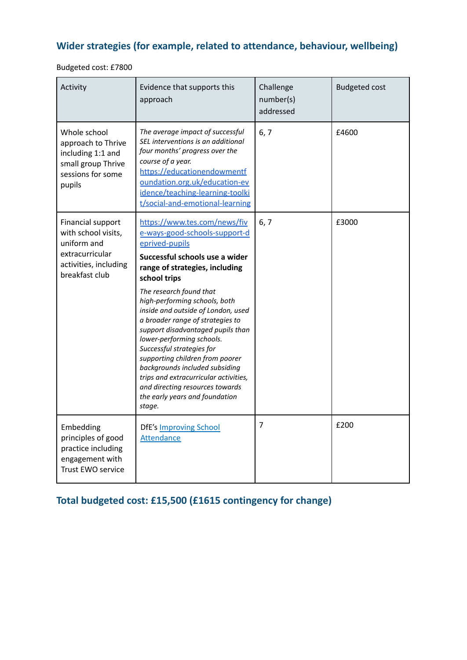### **Wider strategies (for example, related to attendance, behaviour, wellbeing)**

Budgeted cost: £7800

| Activity                                                                                                              | Evidence that supports this<br>approach                                                                                                                                                                                                                                                                                                                                                                                                                                                                                                                                                               | Challenge<br>number(s)<br>addressed | <b>Budgeted cost</b> |
|-----------------------------------------------------------------------------------------------------------------------|-------------------------------------------------------------------------------------------------------------------------------------------------------------------------------------------------------------------------------------------------------------------------------------------------------------------------------------------------------------------------------------------------------------------------------------------------------------------------------------------------------------------------------------------------------------------------------------------------------|-------------------------------------|----------------------|
| Whole school<br>approach to Thrive<br>including 1:1 and<br>small group Thrive<br>sessions for some<br>pupils          | The average impact of successful<br>SEL interventions is an additional<br>four months' progress over the<br>course of a year.<br>https://educationendowmentf<br>oundation.org.uk/education-ev<br>idence/teaching-learning-toolki<br>t/social-and-emotional-learning                                                                                                                                                                                                                                                                                                                                   | 6, 7                                | £4600                |
| Financial support<br>with school visits,<br>uniform and<br>extracurricular<br>activities, including<br>breakfast club | https://www.tes.com/news/fiv<br>e-ways-good-schools-support-d<br>eprived-pupils<br>Successful schools use a wider<br>range of strategies, including<br>school trips<br>The research found that<br>high-performing schools, both<br>inside and outside of London, used<br>a broader range of strategies to<br>support disadvantaged pupils than<br>lower-performing schools.<br>Successful strategies for<br>supporting children from poorer<br>backgrounds included subsiding<br>trips and extracurricular activities,<br>and directing resources towards<br>the early years and foundation<br>stage. | 6, 7                                | £3000                |
| Embedding<br>principles of good<br>practice including<br>engagement with<br>Trust EWO service                         | <b>DfE's Improving School</b><br><b>Attendance</b>                                                                                                                                                                                                                                                                                                                                                                                                                                                                                                                                                    | 7                                   | £200                 |

**Total budgeted cost: £15,500 (£1615 contingency for change)**